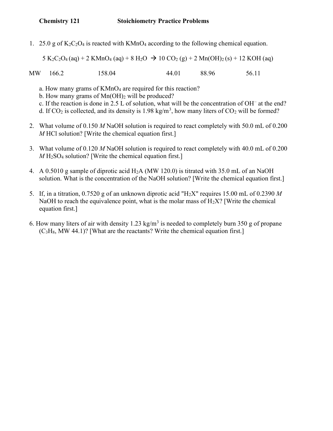1. 25.0 g of  $K_2C_2O_4$  is reacted with KMnO<sub>4</sub> according to the following chemical equation.

 $5 K_2C_2O_4(aq) + 2 KMnO_4(aq) + 8 H_2O \rightarrow 10 CO_2(g) + 2 Mn(OH)_2(s) + 12 KOH(aq)$ 

MW 166.2 158.04 44.01 88.96 56.11

- a. How many grams of KMnO<sub>4</sub> are required for this reaction?
- b. How many grams of  $Mn(OH)_2$  will be produced?
- c. If the reaction is done in 2.5 L of solution, what will be the concentration of OH– at the end?
- d. If CO<sub>2</sub> is collected, and its density is 1.98 kg/m<sup>3</sup>, how many liters of CO<sub>2</sub> will be formed?
	- 2. What volume of 0.150 M NaOH solution is required to react completely with 50.0 mL of 0.200 M HCl solution? [Write the chemical equation first.]
	- 3. What volume of 0.120 M NaOH solution is required to react completely with 40.0 mL of 0.200  $M$  H<sub>2</sub>SO<sub>4</sub> solution? [Write the chemical equation first.]
	- 4. A 0.5010 g sample of diprotic acid H2A (MW 120.0) is titrated with 35.0 mL of an NaOH solution. What is the concentration of the NaOH solution? [Write the chemical equation first.]
	- 5. If, in a titration, 0.7520 g of an unknown diprotic acid "H<sub>2</sub>X" requires 15.00 mL of 0.2390 M NaOH to reach the equivalence point, what is the molar mass of  $H_2X$ ? [Write the chemical equation first.]
- 6. How many liters of air with density 1.23 kg/m<sup>3</sup> is needed to completely burn 350 g of propane  $(C<sub>3</sub>H<sub>8</sub>, MW 44.1)$ ? [What are the reactants? Write the chemical equation first.]